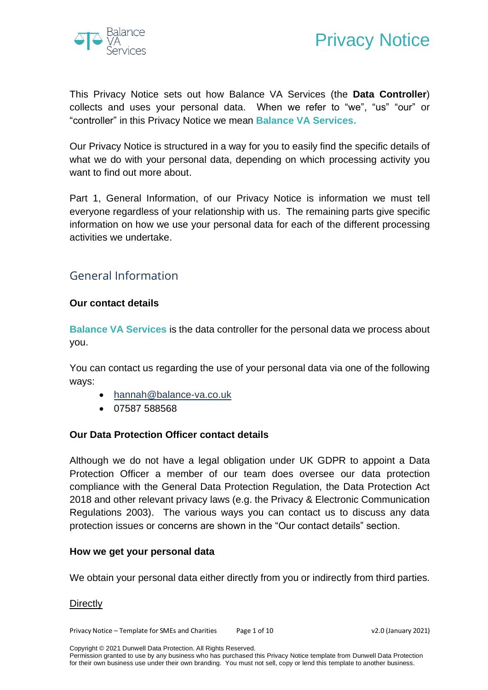



This Privacy Notice sets out how Balance VA Services (the **Data Controller**) collects and uses your personal data. When we refer to "we", "us" "our" or "controller" in this Privacy Notice we mean **Balance VA Services.**

Our Privacy Notice is structured in a way for you to easily find the specific details of what we do with your personal data, depending on which processing activity you want to find out more about.

Part 1, General Information, of our Privacy Notice is information we must tell everyone regardless of your relationship with us. The remaining parts give specific information on how we use your personal data for each of the different processing activities we undertake.

# General Information

#### **Our contact details**

**Balance VA Services** is the data controller for the personal data we process about you.

You can contact us regarding the use of your personal data via one of the following ways:

- [hannah@balance-va.co.uk](mailto:hannah@balance-va.co.uk)
- 07587 588568

#### **Our Data Protection Officer contact details**

Although we do not have a legal obligation under UK GDPR to appoint a Data Protection Officer a member of our team does oversee our data protection compliance with the General Data Protection Regulation, the Data Protection Act 2018 and other relevant privacy laws (e.g. the Privacy & Electronic Communication Regulations 2003). The various ways you can contact us to discuss any data protection issues or concerns are shown in the "Our contact details" section.

#### **How we get your personal data**

We obtain your personal data either directly from you or indirectly from third parties.

#### **Directly**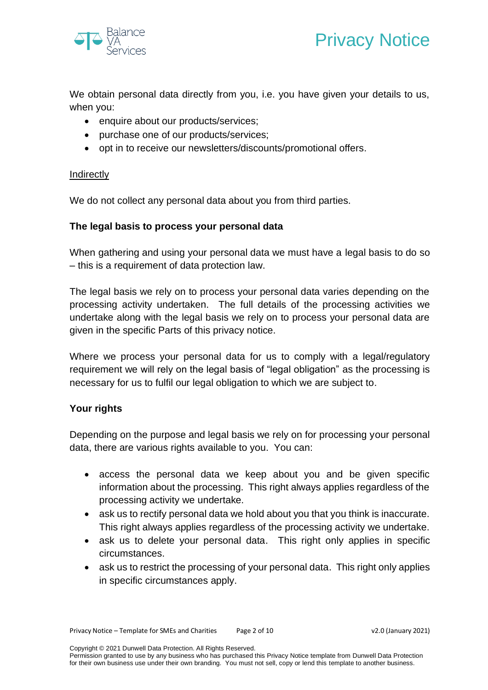

We obtain personal data directly from you, i.e. you have given your details to us, when you:

- enquire about our products/services;
- purchase one of our products/services;
- opt in to receive our newsletters/discounts/promotional offers.

#### Indirectly

We do not collect any personal data about you from third parties.

# **The legal basis to process your personal data**

When gathering and using your personal data we must have a legal basis to do so – this is a requirement of data protection law.

The legal basis we rely on to process your personal data varies depending on the processing activity undertaken. The full details of the processing activities we undertake along with the legal basis we rely on to process your personal data are given in the specific Parts of this privacy notice.

Where we process your personal data for us to comply with a legal/regulatory requirement we will rely on the legal basis of "legal obligation" as the processing is necessary for us to fulfil our legal obligation to which we are subject to.

# **Your rights**

Depending on the purpose and legal basis we rely on for processing your personal data, there are various rights available to you. You can:

- access the personal data we keep about you and be given specific information about the processing. This right always applies regardless of the processing activity we undertake.
- ask us to rectify personal data we hold about you that you think is inaccurate. This right always applies regardless of the processing activity we undertake.
- ask us to delete your personal data. This right only applies in specific circumstances.
- ask us to restrict the processing of your personal data. This right only applies in specific circumstances apply.

Copyright © 2021 Dunwell Data Protection. All Rights Reserved.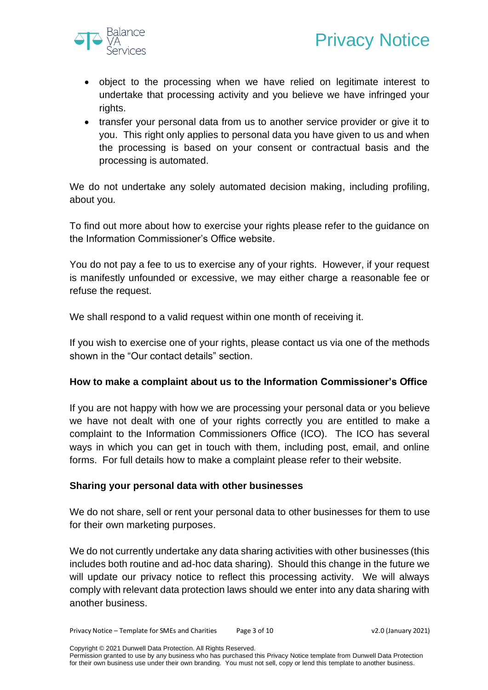

- object to the processing when we have relied on legitimate interest to undertake that processing activity and you believe we have infringed your rights.
- transfer your personal data from us to another service provider or give it to you. This right only applies to personal data you have given to us and when the processing is based on your consent or contractual basis and the processing is automated.

We do not undertake any solely automated decision making, including profiling, about you.

To find out more about how to exercise your rights please refer to the guidance on the Information Commissioner's Office website.

You do not pay a fee to us to exercise any of your rights. However, if your request is manifestly unfounded or excessive, we may either charge a reasonable fee or refuse the request.

We shall respond to a valid request within one month of receiving it.

If you wish to exercise one of your rights, please contact us via one of the methods shown in the "Our contact details" section.

#### **How to make a complaint about us to the Information Commissioner's Office**

If you are not happy with how we are processing your personal data or you believe we have not dealt with one of your rights correctly you are entitled to make a complaint to the Information Commissioners Office (ICO). The ICO has several ways in which you can get in touch with them, including post, email, and online forms. For full details how to make a complaint please refer to their website.

#### **Sharing your personal data with other businesses**

We do not share, sell or rent your personal data to other businesses for them to use for their own marketing purposes.

We do not currently undertake any data sharing activities with other businesses (this includes both routine and ad-hoc data sharing). Should this change in the future we will update our privacy notice to reflect this processing activity. We will always comply with relevant data protection laws should we enter into any data sharing with another business.

Copyright © 2021 Dunwell Data Protection. All Rights Reserved.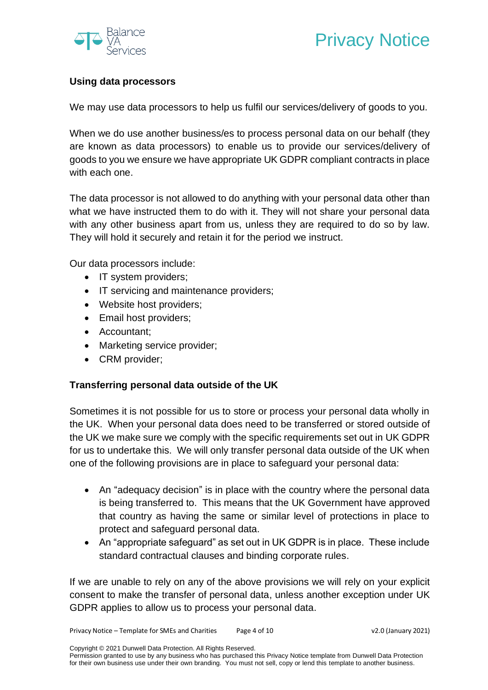

# **Using data processors**

We may use data processors to help us fulfil our services/delivery of goods to you.

When we do use another business/es to process personal data on our behalf (they are known as data processors) to enable us to provide our services/delivery of goods to you we ensure we have appropriate UK GDPR compliant contracts in place with each one.

The data processor is not allowed to do anything with your personal data other than what we have instructed them to do with it. They will not share your personal data with any other business apart from us, unless they are required to do so by law. They will hold it securely and retain it for the period we instruct.

Our data processors include:

- IT system providers;
- IT servicing and maintenance providers;
- Website host providers;
- Email host providers;
- Accountant;
- Marketing service provider;
- CRM provider;

#### **Transferring personal data outside of the UK**

Sometimes it is not possible for us to store or process your personal data wholly in the UK. When your personal data does need to be transferred or stored outside of the UK we make sure we comply with the specific requirements set out in UK GDPR for us to undertake this. We will only transfer personal data outside of the UK when one of the following provisions are in place to safeguard your personal data:

- An "adequacy decision" is in place with the country where the personal data is being transferred to. This means that the UK Government have approved that country as having the same or similar level of protections in place to protect and safeguard personal data.
- An "appropriate safeguard" as set out in UK GDPR is in place. These include standard contractual clauses and binding corporate rules.

If we are unable to rely on any of the above provisions we will rely on your explicit consent to make the transfer of personal data, unless another exception under UK GDPR applies to allow us to process your personal data.

Copyright © 2021 Dunwell Data Protection. All Rights Reserved.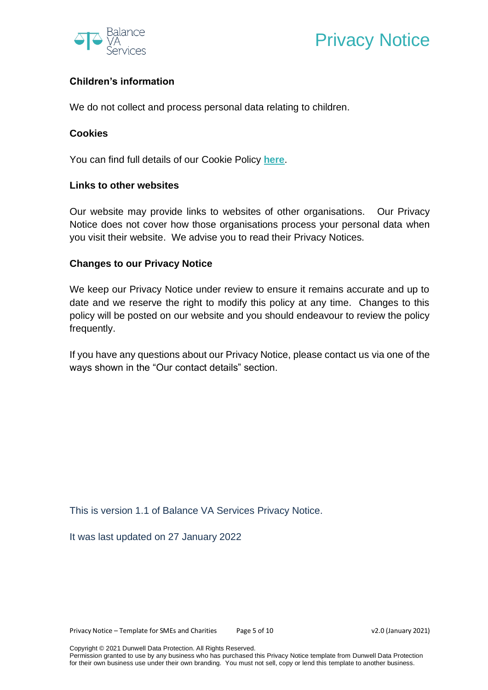

# Privacy Notice

# **Children's information**

We do not collect and process personal data relating to children.

#### **Cookies**

You can find full details of our Cookie Policy **[here](http://www.balance-va.co.uk/cookie-policy/)**.

## **Links to other websites**

Our website may provide links to websites of other organisations. Our Privacy Notice does not cover how those organisations process your personal data when you visit their website. We advise you to read their Privacy Notices.

## **Changes to our Privacy Notice**

We keep our Privacy Notice under review to ensure it remains accurate and up to date and we reserve the right to modify this policy at any time. Changes to this policy will be posted on our website and you should endeavour to review the policy frequently.

If you have any questions about our Privacy Notice, please contact us via one of the ways shown in the "Our contact details" section.

This is version 1.1 of Balance VA Services Privacy Notice.

It was last updated on 27 January 2022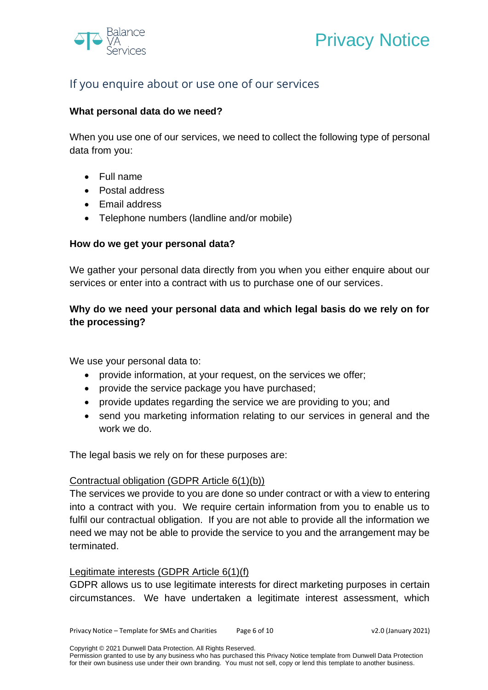



# If you enquire about or use one of our services

## **What personal data do we need?**

When you use one of our services, we need to collect the following type of personal data from you:

- Full name
- Postal address
- Email address
- Telephone numbers (landline and/or mobile)

#### **How do we get your personal data?**

We gather your personal data directly from you when you either enquire about our services or enter into a contract with us to purchase one of our services.

# **Why do we need your personal data and which legal basis do we rely on for the processing?**

We use your personal data to:

- provide information, at your request, on the services we offer:
- provide the service package you have purchased;
- provide updates regarding the service we are providing to you; and
- send you marketing information relating to our services in general and the work we do.

The legal basis we rely on for these purposes are:

#### Contractual obligation (GDPR Article 6(1)(b))

The services we provide to you are done so under contract or with a view to entering into a contract with you. We require certain information from you to enable us to fulfil our contractual obligation. If you are not able to provide all the information we need we may not be able to provide the service to you and the arrangement may be terminated.

#### Legitimate interests (GDPR Article 6(1)(f)

GDPR allows us to use legitimate interests for direct marketing purposes in certain circumstances. We have undertaken a legitimate interest assessment, which

Copyright © 2021 Dunwell Data Protection. All Rights Reserved.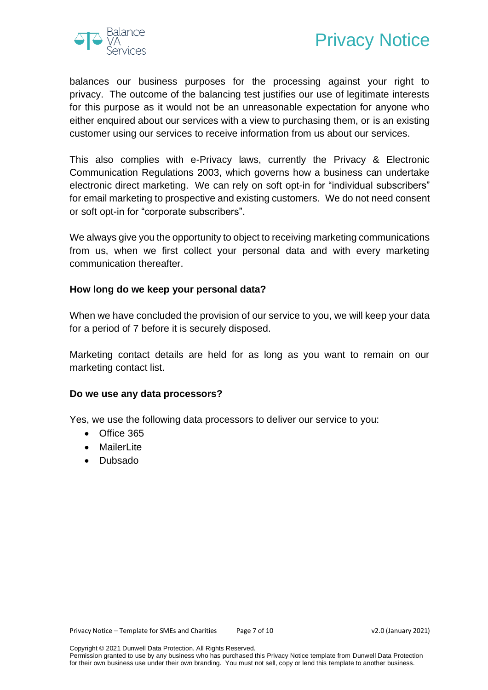



balances our business purposes for the processing against your right to privacy. The outcome of the balancing test justifies our use of legitimate interests for this purpose as it would not be an unreasonable expectation for anyone who either enquired about our services with a view to purchasing them, or is an existing customer using our services to receive information from us about our services.

This also complies with e-Privacy laws, currently the Privacy & Electronic Communication Regulations 2003, which governs how a business can undertake electronic direct marketing. We can rely on soft opt-in for "individual subscribers" for email marketing to prospective and existing customers. We do not need consent or soft opt-in for "corporate subscribers".

We always give you the opportunity to object to receiving marketing communications from us, when we first collect your personal data and with every marketing communication thereafter.

#### **How long do we keep your personal data?**

When we have concluded the provision of our service to you, we will keep your data for a period of 7 before it is securely disposed.

Marketing contact details are held for as long as you want to remain on our marketing contact list.

#### **Do we use any data processors?**

Yes, we use the following data processors to deliver our service to you:

- Office 365
- Mailerl ite
- Dubsado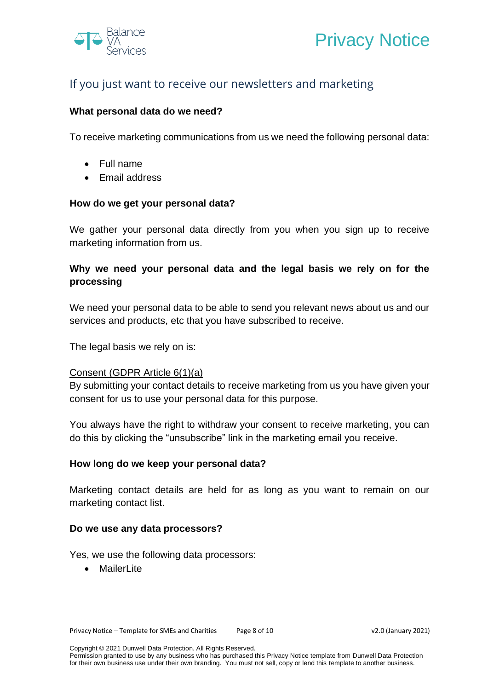



# If you just want to receive our newsletters and marketing

### **What personal data do we need?**

To receive marketing communications from us we need the following personal data:

- Full name
- Email address

#### **How do we get your personal data?**

We gather your personal data directly from you when you sign up to receive marketing information from us.

# **Why we need your personal data and the legal basis we rely on for the processing**

We need your personal data to be able to send you relevant news about us and our services and products, etc that you have subscribed to receive.

The legal basis we rely on is:

#### Consent (GDPR Article 6(1)(a)

By submitting your contact details to receive marketing from us you have given your consent for us to use your personal data for this purpose.

You always have the right to withdraw your consent to receive marketing, you can do this by clicking the "unsubscribe" link in the marketing email you receive.

#### **How long do we keep your personal data?**

Marketing contact details are held for as long as you want to remain on our marketing contact list.

#### **Do we use any data processors?**

Yes, we use the following data processors:

• MailerLite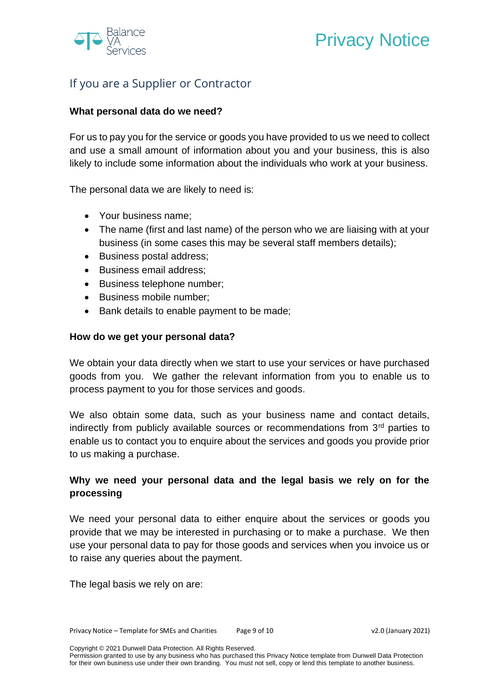

# Privacy Notice

# If you are a Supplier or Contractor

## **What personal data do we need?**

For us to pay you for the service or goods you have provided to us we need to collect and use a small amount of information about you and your business, this is also likely to include some information about the individuals who work at your business.

The personal data we are likely to need is:

- Your business name;
- The name (first and last name) of the person who we are liaising with at your business (in some cases this may be several staff members details);
- Business postal address;
- Business email address;
- Business telephone number;
- Business mobile number:
- Bank details to enable payment to be made;

#### **How do we get your personal data?**

We obtain your data directly when we start to use your services or have purchased goods from you. We gather the relevant information from you to enable us to process payment to you for those services and goods.

We also obtain some data, such as your business name and contact details, indirectly from publicly available sources or recommendations from 3rd parties to enable us to contact you to enquire about the services and goods you provide prior to us making a purchase.

# **Why we need your personal data and the legal basis we rely on for the processing**

We need your personal data to either enquire about the services or goods you provide that we may be interested in purchasing or to make a purchase. We then use your personal data to pay for those goods and services when you invoice us or to raise any queries about the payment.

The legal basis we rely on are:

Copyright © 2021 Dunwell Data Protection. All Rights Reserved.